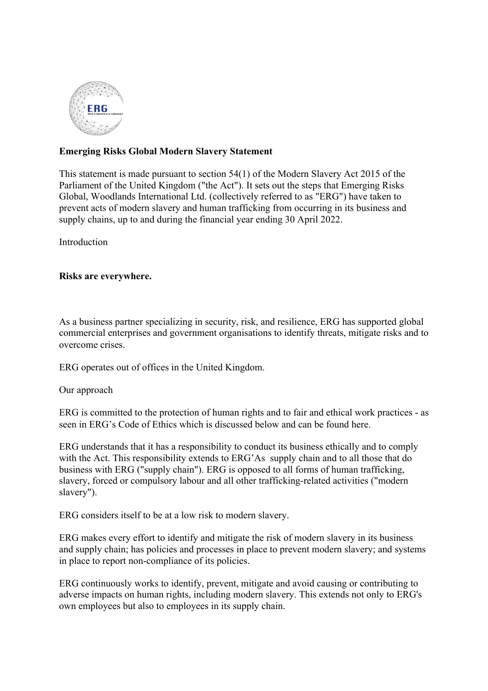

# **Emerging Risks Global Modern Slaverу Ѕtаtement**

This statement is made pursuant to section  $54(1)$  of the Modern Slavery Act 2015 of the Parliament of the United Kingdom ("the Act"). It sets out the steps that Emerging Risks Global, Woodlands International Ltd. (collectively referred to as "ERG") have taken to prevent acts of modern slavery and human trafficking from occurring in its business and supply chains, up to and during the financial year ending 30 April 2022.

Introduction

## **Risks are everywhere.**

As a business partner specializing in security, risk, and resilience, ERG has supported global commercial enterprises and government organisations to identify threats, mitigate risks and to overcome crises.

ERG operates out of offices in the United Kingdom.

Our approach

ERG is committed to the protection of human rights and to fair and ethical work practices - as seen in ERG's Code of Ethics which is discussed below and can be found here.

ERG understands that it has a responsibility to conduct its business ethically and to comply with the Act. This responsibility extends to ERG'As supply chain and to all those that do business with ERG ("supply chain"). ERG is opposed to all forms of human trafficking, slavery, forced or compulsory labour and all other trafficking-related activities ("modern slavery").

ERG considers itself to be at a low risk to modern slavery.

ERG makes every effort to identify and mitigate the risk of modern slavery in its business and supply chain; has policies and processes in place to prevent modern slavery; and systems in place to report non-compliance of its policies.

ERG continuously works to identify, prevent, mitigate and avoid causing or contributing to adverse impacts on human rights, including modern slavery. This extends not only to ERG's own employees but also to employees in its supply chain.